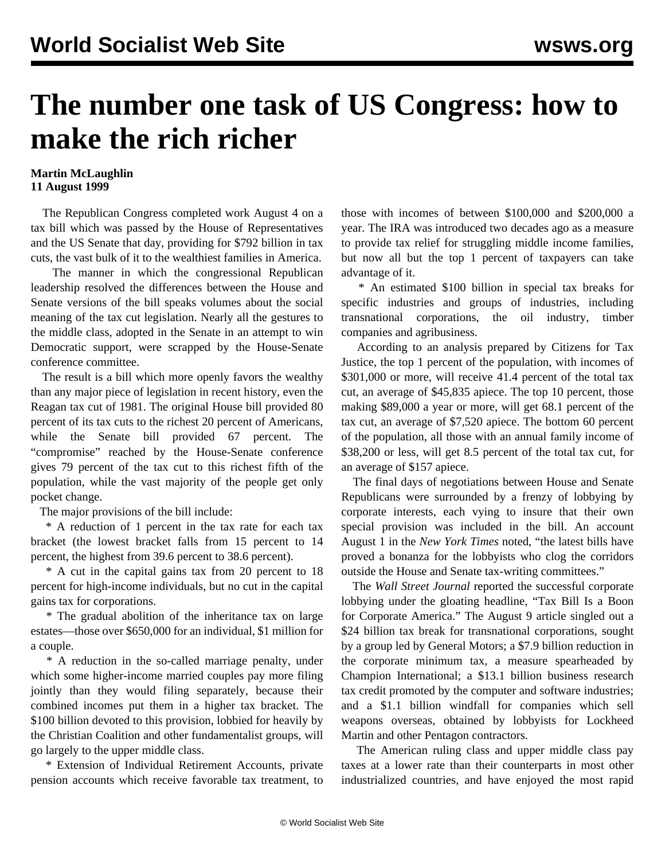## **The number one task of US Congress: how to make the rich richer**

## **Martin McLaughlin 11 August 1999**

 The Republican Congress completed work August 4 on a tax bill which was passed by the House of Representatives and the US Senate that day, providing for \$792 billion in tax cuts, the vast bulk of it to the wealthiest families in America.

 The manner in which the congressional Republican leadership resolved the differences between the House and Senate versions of the bill speaks volumes about the social meaning of the tax cut legislation. Nearly all the gestures to the middle class, adopted in the Senate in an attempt to win Democratic support, were scrapped by the House-Senate conference committee.

 The result is a bill which more openly favors the wealthy than any major piece of legislation in recent history, even the Reagan tax cut of 1981. The original House bill provided 80 percent of its tax cuts to the richest 20 percent of Americans, while the Senate bill provided 67 percent. The "compromise" reached by the House-Senate conference gives 79 percent of the tax cut to this richest fifth of the population, while the vast majority of the people get only pocket change.

The major provisions of the bill include:

 \* A reduction of 1 percent in the tax rate for each tax bracket (the lowest bracket falls from 15 percent to 14 percent, the highest from 39.6 percent to 38.6 percent).

 \* A cut in the capital gains tax from 20 percent to 18 percent for high-income individuals, but no cut in the capital gains tax for corporations.

 \* The gradual abolition of the inheritance tax on large estates—those over \$650,000 for an individual, \$1 million for a couple.

 \* A reduction in the so-called marriage penalty, under which some higher-income married couples pay more filing jointly than they would filing separately, because their combined incomes put them in a higher tax bracket. The \$100 billion devoted to this provision, lobbied for heavily by the Christian Coalition and other fundamentalist groups, will go largely to the upper middle class.

 \* Extension of Individual Retirement Accounts, private pension accounts which receive favorable tax treatment, to those with incomes of between \$100,000 and \$200,000 a year. The IRA was introduced two decades ago as a measure to provide tax relief for struggling middle income families, but now all but the top 1 percent of taxpayers can take advantage of it.

 \* An estimated \$100 billion in special tax breaks for specific industries and groups of industries, including transnational corporations, the oil industry, timber companies and agribusiness.

 According to an analysis prepared by Citizens for Tax Justice, the top 1 percent of the population, with incomes of \$301,000 or more, will receive 41.4 percent of the total tax cut, an average of \$45,835 apiece. The top 10 percent, those making \$89,000 a year or more, will get 68.1 percent of the tax cut, an average of \$7,520 apiece. The bottom 60 percent of the population, all those with an annual family income of \$38,200 or less, will get 8.5 percent of the total tax cut, for an average of \$157 apiece.

 The final days of negotiations between House and Senate Republicans were surrounded by a frenzy of lobbying by corporate interests, each vying to insure that their own special provision was included in the bill. An account August 1 in the *New York Times* noted, "the latest bills have proved a bonanza for the lobbyists who clog the corridors outside the House and Senate tax-writing committees."

 The *Wall Street Journal* reported the successful corporate lobbying under the gloating headline, "Tax Bill Is a Boon for Corporate America." The August 9 article singled out a \$24 billion tax break for transnational corporations, sought by a group led by General Motors; a \$7.9 billion reduction in the corporate minimum tax, a measure spearheaded by Champion International; a \$13.1 billion business research tax credit promoted by the computer and software industries; and a \$1.1 billion windfall for companies which sell weapons overseas, obtained by lobbyists for Lockheed Martin and other Pentagon contractors.

 The American ruling class and upper middle class pay taxes at a lower rate than their counterparts in most other industrialized countries, and have enjoyed the most rapid